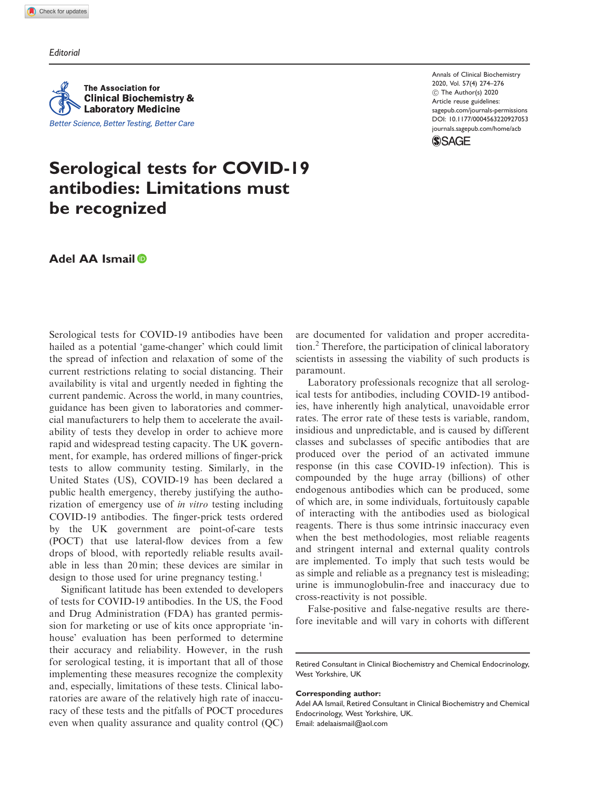**Editorial** 

**The Association for Clinical Biochemistry & Laboratory Medicine** Better Science, Better Testing, Better Care Annals of Clinical Biochemistry 2020, Vol. 57(4) 274–276  $\odot$  The Author(s) 2020 Article reuse guidelines: sagepub.com/journals-permissions DOI: 10.1177/0004563220927053 journals.sagepub.com/home/acb



# Serological tests for COVID-19 antibodies: Limitations must be recognized

# Adel AA Ismail

Serological tests for COVID-19 antibodies have been hailed as a potential 'game-changer' which could limit the spread of infection and relaxation of some of the current restrictions relating to social distancing. Their availability is vital and urgently needed in fighting the current pandemic. Across the world, in many countries, guidance has been given to laboratories and commercial manufacturers to help them to accelerate the availability of tests they develop in order to achieve more rapid and widespread testing capacity. The UK government, for example, has ordered millions of finger-prick tests to allow community testing. Similarly, in the United States (US), COVID-19 has been declared a public health emergency, thereby justifying the authorization of emergency use of in vitro testing including COVID-19 antibodies. The finger-prick tests ordered by the UK government are point-of-care tests (POCT) that use lateral-flow devices from a few drops of blood, with reportedly reliable results available in less than 20 min; these devices are similar in design to those used for urine pregnancy testing.<sup>1</sup>

Significant latitude has been extended to developers of tests for COVID-19 antibodies. In the US, the Food and Drug Administration (FDA) has granted permission for marketing or use of kits once appropriate 'inhouse' evaluation has been performed to determine their accuracy and reliability. However, in the rush for serological testing, it is important that all of those implementing these measures recognize the complexity and, especially, limitations of these tests. Clinical laboratories are aware of the relatively high rate of inaccuracy of these tests and the pitfalls of POCT procedures even when quality assurance and quality control (QC) are documented for validation and proper accreditation.<sup>2</sup> Therefore, the participation of clinical laboratory scientists in assessing the viability of such products is paramount.

Laboratory professionals recognize that all serological tests for antibodies, including COVID-19 antibodies, have inherently high analytical, unavoidable error rates. The error rate of these tests is variable, random, insidious and unpredictable, and is caused by different classes and subclasses of specific antibodies that are produced over the period of an activated immune response (in this case COVID-19 infection). This is compounded by the huge array (billions) of other endogenous antibodies which can be produced, some of which are, in some individuals, fortuitously capable of interacting with the antibodies used as biological reagents. There is thus some intrinsic inaccuracy even when the best methodologies, most reliable reagents and stringent internal and external quality controls are implemented. To imply that such tests would be as simple and reliable as a pregnancy test is misleading; urine is immunoglobulin-free and inaccuracy due to cross-reactivity is not possible.

False-positive and false-negative results are therefore inevitable and will vary in cohorts with different

#### Corresponding author:

Adel AA Ismail, Retired Consultant in Clinical Biochemistry and Chemical Endocrinology, West Yorkshire, UK. Email: adelaaismail@aol.com

Retired Consultant in Clinical Biochemistry and Chemical Endocrinology, West Yorkshire, UK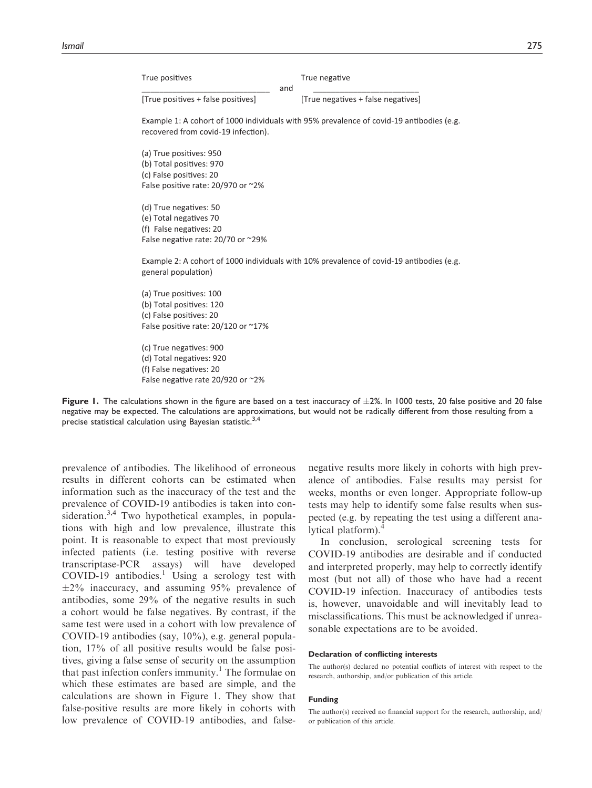True positives

ves True negative

[True positives + false positi

ves] [True negatives + false negatives]

Example 1: A cohort of 1000 individuals with 95% prevalence of covid-19 antibodies (e.g. recovered from covid-19 infection).

\_\_\_\_\_\_\_\_\_\_\_\_\_\_\_\_\_\_\_\_\_\_\_\_\_\_\_\_\_ and \_\_\_\_\_\_\_\_\_\_\_\_\_\_\_\_\_\_\_\_\_\_\_\_

(a) True positives: 950 (b) Total positives: 970 (c) False positives: 20 False positive rate: 20/970 or ~2%

(d) True negatives: 50 (e) Total negatives 70 (f) False negatives: 20 False negative rate: 20/70 or ~29%

Example 2: A cohort of 1000 individuals with 10% prevalence of covid-19 antibodies (e.g. general population)

(a) True positives: 100 (b) Total positives: 120 (c) False positives: 20 False positive rate: 20/120 or ~17%

(c) True negatives: 900 (d) Total negatives: 920 (f) False negatives: 20 False negative rate 20/920 or ~2%



prevalence of antibodies. The likelihood of erroneous results in different cohorts can be estimated when information such as the inaccuracy of the test and the prevalence of COVID-19 antibodies is taken into consideration.<sup>3,4</sup> Two hypothetical examples, in populations with high and low prevalence, illustrate this point. It is reasonable to expect that most previously infected patients (i.e. testing positive with reverse transcriptase-PCR assays) will have developed COVID-19 antibodies.<sup>1</sup> Using a serology test with  $\pm 2\%$  inaccuracy, and assuming 95% prevalence of antibodies, some 29% of the negative results in such a cohort would be false negatives. By contrast, if the same test were used in a cohort with low prevalence of COVID-19 antibodies (say, 10%), e.g. general population, 17% of all positive results would be false positives, giving a false sense of security on the assumption that past infection confers immunity.<sup>1</sup> The formulae on which these estimates are based are simple, and the calculations are shown in Figure 1. They show that false-positive results are more likely in cohorts with low prevalence of COVID-19 antibodies, and false-

negative results more likely in cohorts with high prevalence of antibodies. False results may persist for weeks, months or even longer. Appropriate follow-up tests may help to identify some false results when suspected (e.g. by repeating the test using a different analytical platform).<sup>4</sup>

In conclusion, serological screening tests for COVID-19 antibodies are desirable and if conducted and interpreted properly, may help to correctly identify most (but not all) of those who have had a recent COVID-19 infection. Inaccuracy of antibodies tests is, however, unavoidable and will inevitably lead to misclassifications. This must be acknowledged if unreasonable expectations are to be avoided.

#### Declaration of conflicting interests

The author(s) declared no potential conflicts of interest with respect to the research, authorship, and/or publication of this article.

#### Funding

The author(s) received no financial support for the research, authorship, and/ or publication of this article.